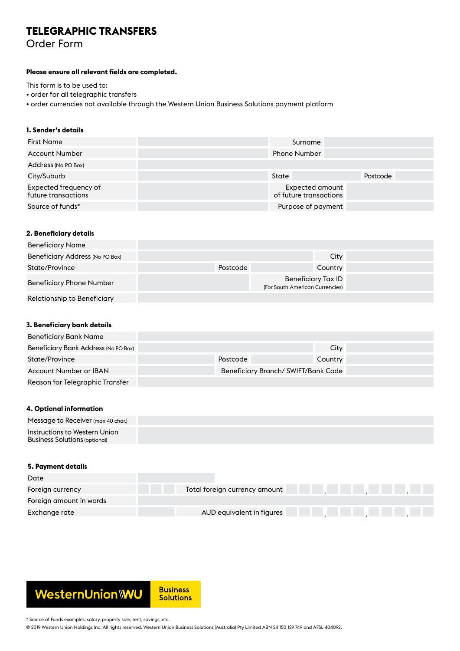# **TELEGRAPHIC TRANSFERS**

Order Form

### **Please ensure all relevant fields are completed.**

This form is to be used to:

• order for all telegraphic transfers

• order currencies not available through the Western Union Business Solutions payment platform

# **1. Sender's details**

| <b>First Name</b>                            | Surname                                   |          |
|----------------------------------------------|-------------------------------------------|----------|
| <b>Account Number</b>                        | <b>Phone Number</b>                       |          |
| Address (No PO Box)                          |                                           |          |
| City/Suburb                                  | State                                     | Postcode |
| Expected frequency of<br>future transactions | Expected amount<br>of future transactions |          |
| Source of funds*                             | Purpose of payment                        |          |

## **2. Beneficiary details**

| <b>Beneficiary Name</b>         |                                                       |         |  |
|---------------------------------|-------------------------------------------------------|---------|--|
| Beneficiary Address (No PO Box) |                                                       | City    |  |
| State/Province                  | Postcode                                              | Country |  |
| <b>Beneficiary Phone Number</b> | Beneficiary Tax ID<br>(For South American Currencies) |         |  |
| Relationship to Beneficiary     |                                                       |         |  |

# **3. Beneficiary bank details**

| Beneficiary Bank Name                |          |                                    |         |
|--------------------------------------|----------|------------------------------------|---------|
| Beneficiary Bank Address (No PO Box) |          |                                    | City    |
| State/Province                       | Postcode |                                    | Country |
| Account Number or IBAN               |          | Beneficiary Branch/SWIFT/Bank Code |         |
| Reason for Telegraphic Transfer      |          |                                    |         |

### **4. Optional information**

| Message to Receiver (max 40 char.)                             |  |
|----------------------------------------------------------------|--|
| Instructions to Western Union<br>Business Solutions (optional) |  |

#### **5. Payment details**

| Date                    |                               |  |
|-------------------------|-------------------------------|--|
| Foreign currency        | Total foreign currency amount |  |
| Foreign amount in words |                               |  |
| Exchange rate           | AUD equivalent in figures     |  |



\* Source of Funds examples: salary, property sale, rent, savings, etc.

© 2019 Western Union Holdings Inc. All rights reserved. Western Union Business Solutions (Australia) Pty Limited ABN 24 150 129 749 and AFSL 404092.